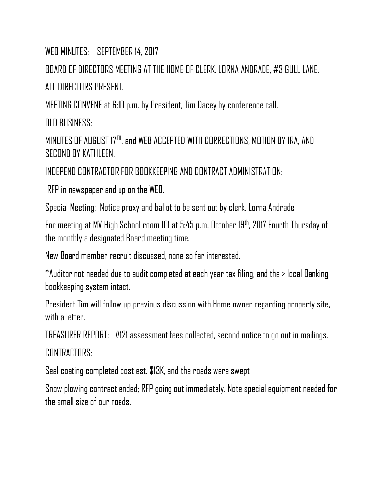WEB MINUTES: SEPTEMBER 14, 2017

BOARD OF DIRECTORS MEETING AT THE HOME OF CLERK. LORNA ANDRADE, #3 GULL LANE. ALL DIRECTORS PRESENT

MEETING CONVENE at 6:10 p.m. by President, Tim Dacey by conference call.

OLD BUSINESS:

MINUTES OF AUGUST 17<sup>TH</sup>, and WEB ACCEPTED WITH CORRECTIONS, MOTION BY IRA, AND SECOND BY KATHLEEN.

INDEPEND CONTRACTOR FOR BOOKKEEPING AND CONTRACT ADMINISTRATION:

RFP in newspaper and up on the WEB.

Special Meeting: Notice proxy and ballot to be sent out by clerk, Lorna Andrade

For meeting at MV High School room 101 at 5:45 p.m. October 19<sup>th</sup>, 2017 Fourth Thursday of the monthly a designated Board meeting time.

New Board member recruit discussed, none so far interested.

\*Auditor not needed due to audit completed at each year tax filing, and the > local Banking bookkeeping system intact.

President Tim will follow up previous discussion with Home owner regarding property site, with a letter.

TREASURER REPORT: #121 assessment fees collected, second notice to go out in mailings. CONTRACTORS.

Seal coating completed cost est. \$13K, and the roads were swept

Snow plowing contract ended; RFP going out immediately. Note special equipment needed for the small size of our roads.